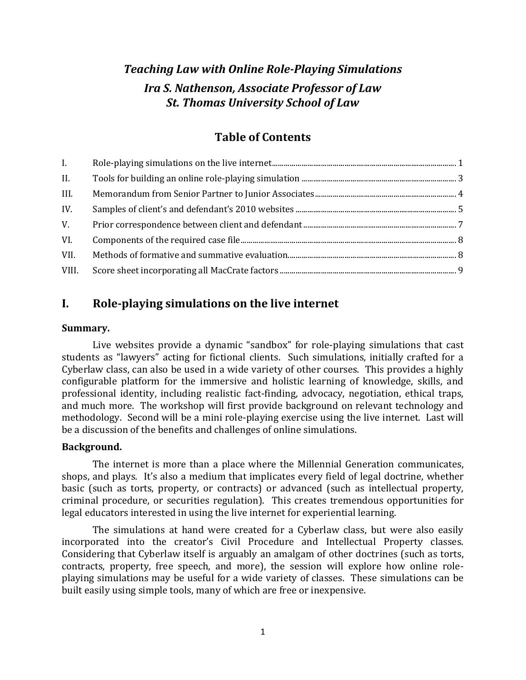# *Teaching Law with Online Role-Playing Simulations Ira S. Nathenson, Associate Professor of Law St. Thomas University School of Law*

# **Table of Contents**

| L.    |  |
|-------|--|
| II.   |  |
| III.  |  |
| IV.   |  |
| V.    |  |
| VI.   |  |
| VII.  |  |
| VIII. |  |

# <span id="page-0-0"></span>**I. Role-playing simulations on the live internet**

## **Summary.**

Live websites provide a dynamic "sandbox" for role-playing simulations that cast students as "lawyers" acting for fictional clients. Such simulations, initially crafted for a Cyberlaw class, can also be used in a wide variety of other courses. This provides a highly configurable platform for the immersive and holistic learning of knowledge, skills, and professional identity, including realistic fact-finding, advocacy, negotiation, ethical traps, and much more. The workshop will first provide background on relevant technology and methodology. Second will be a mini role-playing exercise using the live internet. Last will be a discussion of the benefits and challenges of online simulations.

## **Background.**

The internet is more than a place where the Millennial Generation communicates, shops, and plays. It's also a medium that implicates every field of legal doctrine, whether basic (such as torts, property, or contracts) or advanced (such as intellectual property, criminal procedure, or securities regulation). This creates tremendous opportunities for legal educators interested in using the live internet for experiential learning.

The simulations at hand were created for a Cyberlaw class, but were also easily incorporated into the creator's Civil Procedure and Intellectual Property classes. Considering that Cyberlaw itself is arguably an amalgam of other doctrines (such as torts, contracts, property, free speech, and more), the session will explore how online roleplaying simulations may be useful for a wide variety of classes. These simulations can be built easily using simple tools, many of which are free or inexpensive.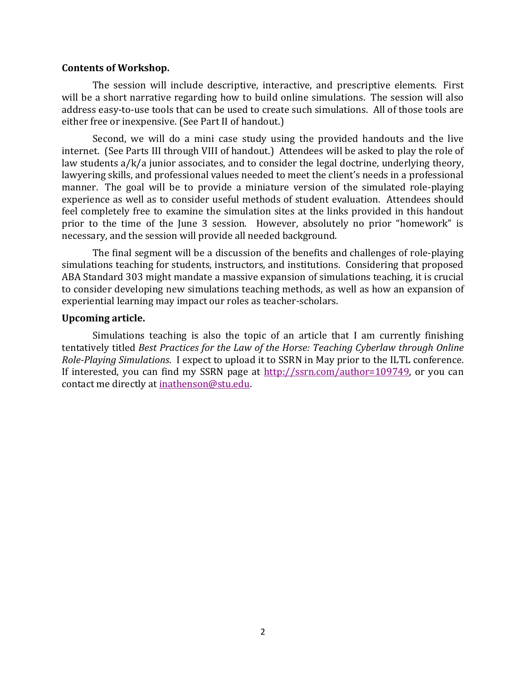## **Contents of Workshop.**

The session will include descriptive, interactive, and prescriptive elements. First will be a short narrative regarding how to build online simulations. The session will also address easy-to-use tools that can be used to create such simulations. All of those tools are either free or inexpensive. (See Part II of handout.)

Second, we will do a mini case study using the provided handouts and the live internet. (See Parts III through VIII of handout.) Attendees will be asked to play the role of law students a/k/a junior associates, and to consider the legal doctrine, underlying theory, lawyering skills, and professional values needed to meet the client's needs in a professional manner. The goal will be to provide a miniature version of the simulated role-playing experience as well as to consider useful methods of student evaluation. Attendees should feel completely free to examine the simulation sites at the links provided in this handout prior to the time of the June 3 session. However, absolutely no prior "homework" is necessary, and the session will provide all needed background.

The final segment will be a discussion of the benefits and challenges of role-playing simulations teaching for students, instructors, and institutions. Considering that proposed ABA Standard 303 might mandate a massive expansion of simulations teaching, it is crucial to consider developing new simulations teaching methods, as well as how an expansion of experiential learning may impact our roles as teacher-scholars.

## **Upcoming article.**

Simulations teaching is also the topic of an article that I am currently finishing tentatively titled *Best Practices for the Law of the Horse: Teaching Cyberlaw through Online Role-Playing Simulations*. I expect to upload it to SSRN in May prior to the ILTL conference. If interested, you can find my SSRN page at [http://ssrn.com/author=109749,](http://ssrn.com/author=109749) or you can contact me directly at [inathenson@stu.edu.](mailto:inathenson@stu.edu)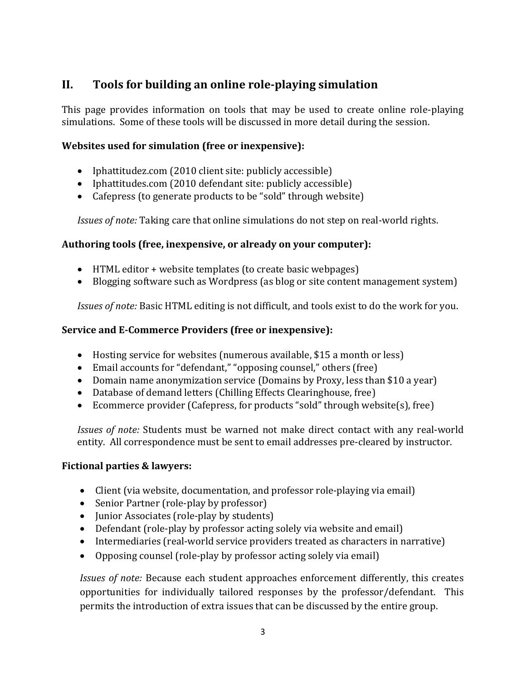# <span id="page-2-0"></span>**II. Tools for building an online role-playing simulation**

This page provides information on tools that may be used to create online role-playing simulations. Some of these tools will be discussed in more detail during the session.

## **Websites used for simulation (free or inexpensive):**

- Iphattitudez.com (2010 client site: publicly accessible)
- Iphattitudes.com (2010 defendant site: publicly accessible)
- Cafepress (to generate products to be "sold" through website)

*Issues of note:* Taking care that online simulations do not step on real-world rights.

## **Authoring tools (free, inexpensive, or already on your computer):**

- HTML editor + website templates (to create basic webpages)
- Blogging software such as Wordpress (as blog or site content management system)

*Issues of note:* Basic HTML editing is not difficult, and tools exist to do the work for you.

## **Service and E-Commerce Providers (free or inexpensive):**

- Hosting service for websites (numerous available, \$15 a month or less)
- Email accounts for "defendant," "opposing counsel," others (free)
- Domain name anonymization service (Domains by Proxy, less than \$10 a year)
- Database of demand letters (Chilling Effects Clearinghouse, free)
- Ecommerce provider (Cafepress, for products "sold" through website(s), free)

*Issues of note:* Students must be warned not make direct contact with any real-world entity. All correspondence must be sent to email addresses pre-cleared by instructor.

## **Fictional parties & lawyers:**

- Client (via website, documentation, and professor role-playing via email)
- Senior Partner (role-play by professor)
- Junior Associates (role-play by students)
- Defendant (role-play by professor acting solely via website and email)
- Intermediaries (real-world service providers treated as characters in narrative)
- Opposing counsel (role-play by professor acting solely via email)

*Issues of note:* Because each student approaches enforcement differently, this creates opportunities for individually tailored responses by the professor/defendant. This permits the introduction of extra issues that can be discussed by the entire group.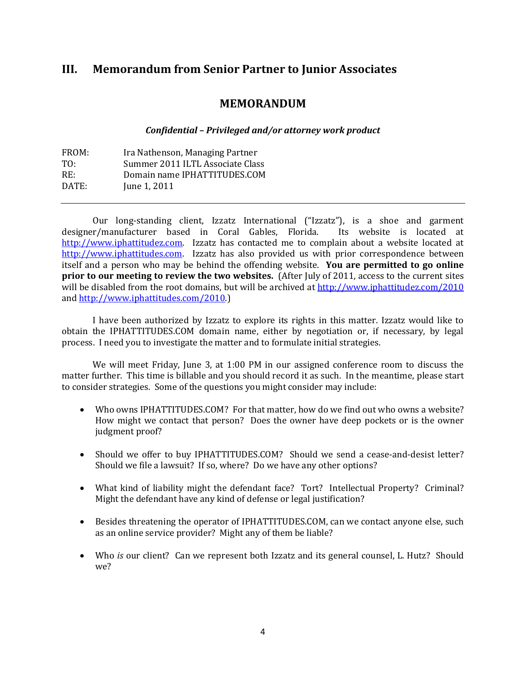# <span id="page-3-0"></span>**III. Memorandum from Senior Partner to Junior Associates**

## **MEMORANDUM**

## *Confidential – Privileged and/or attorney work product*

| FROM: | Ira Nathenson, Managing Partner  |
|-------|----------------------------------|
| TO:   | Summer 2011 ILTL Associate Class |
| RE:   | Domain name IPHATTITUDES.COM     |
| DATE: | June 1, 2011                     |
|       |                                  |

Our long-standing client, Izzatz International ("Izzatz"), is a shoe and garment designer/manufacturer based in Coral Gables, Florida. Its website is located at [http://www.iphattitudez.com.](http://www.iphattitudez.com/) Izzatz has contacted me to complain about a website located at [http://www.iphattitudes.com.](http://www.iphattitudes.com/) Izzatz has also provided us with prior correspondence between itself and a person who may be behind the offending website. **You are permitted to go online prior to our meeting to review the two websites.** (After July of 2011, access to the current sites will be disabled from the root domains, but will be archived a[t http://www.iphattitudez.com/2010](http://www.iphattitudez.com/2010) and [http://www.iphattitudes.com/2010.](http://www.iphattitudes.com/2010))

I have been authorized by Izzatz to explore its rights in this matter. Izzatz would like to obtain the IPHATTITUDES.COM domain name, either by negotiation or, if necessary, by legal process. I need you to investigate the matter and to formulate initial strategies.

We will meet Friday, June 3, at 1:00 PM in our assigned conference room to discuss the matter further. This time is billable and you should record it as such. In the meantime, please start to consider strategies. Some of the questions you might consider may include:

- Who owns IPHATTITUDES.COM? For that matter, how do we find out who owns a website? How might we contact that person? Does the owner have deep pockets or is the owner judgment proof?
- Should we offer to buy IPHATTITUDES.COM? Should we send a cease-and-desist letter? Should we file a lawsuit? If so, where? Do we have any other options?
- What kind of liability might the defendant face? Tort? Intellectual Property? Criminal? Might the defendant have any kind of defense or legal justification?
- Besides threatening the operator of IPHATTITUDES.COM, can we contact anyone else, such as an online service provider? Might any of them be liable?
- Who *is* our client? Can we represent both Izzatz and its general counsel, L. Hutz? Should we?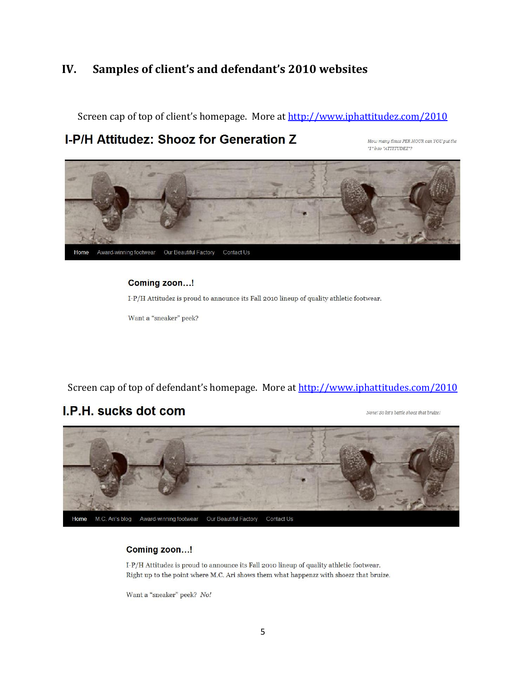# <span id="page-4-0"></span>**IV. Samples of client's and defendant's 2010 websites**

Screen cap of top of client's homepage. More at<http://www.iphattitudez.com/2010>

# I-P/H Attitudez: Shooz for Generation Z

How many times PER HOUR can YOU put the "I" into "ATTITUDEZ"?



## Coming zoon...!

I-P/H Attitudez is proud to announce its Fall 2010 lineup of quality athletic footwear.

Want a "sneaker" peek?

Screen cap of top of defendant's homepage. More at<http://www.iphattitudes.com/2010>

# I.P.H. sucks dot com

None! So let's battle shoez that bruize!



## Coming zoon...!

I-P/H Attitudez is proud to announce its Fall 2010 lineup of quality athletic footwear. Right up to the point where M.C. Ari shows them what happenzz with shoezz that bruize.

Want a "sneaker" peek? No!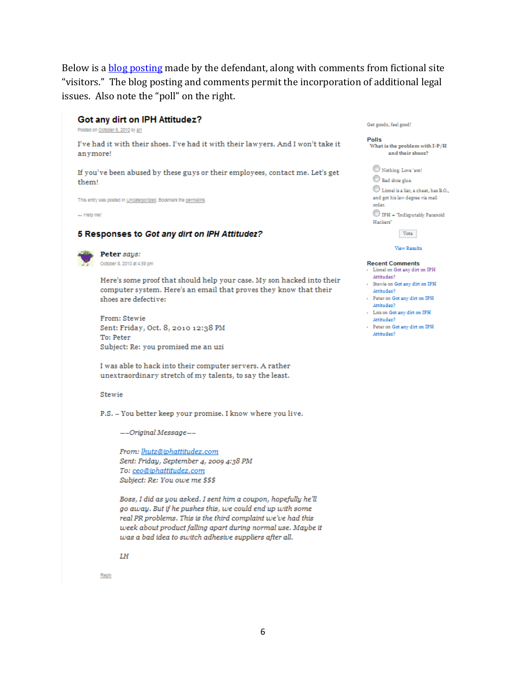Below is a [blog posting](http://iphattitudes.com/2010/?p=99) made by the defendant, along with comments from fictional site "visitors." The blog posting and comments permit the incorporation of additional legal issues. Also note the "poll" on the right.

## Got any dirt on IPH Attitudez?

Posted on October 6, 2010 by art

I've had it with their shoes. I've had it with their lawyers. And I won't take it anymore!

If you've been abused by these guys or their employees, contact me. Let's get them!

This entry was posted in Uncategorized. Bookmark the permalink

 $-$  Help me!

#### 5 Responses to Got any dirt on IPH Attitudez?



Peter says: October 8, 2010 at 4:59 pm

Here's some proof that should help your case. My son hacked into their computer system. Here's an email that proves they know that their shoes are defective:

From: Stewie Sent: Friday, Oct. 8, 2010 12:38 PM To: Peter Subject: Re: you promised me an uzi

I was able to hack into their computer servers. A rather unextraordinary stretch of my talents, to say the least.

#### Stewie

P.S. - You better keep your promise. I know where you live.

--Original Message--

From: lhutz@iphattitudez.com Sent: Friday, September 4, 2009 4:38 PM To: ceo@iphattitudez.com Subject: Re: You owe me \$\$\$

Boss, I did as you asked. I sent him a coupon, hopefully he'll go away. But if he pushes this, we could end up with some real PR problems. This is the third complaint we've had this week about product falling apart during normal use. Maybe it was a bad idea to switch adhesive suppliers after all.

Get goodz, feel good!

Polls What is the problem with I-P/H and their shooz?

Nothing. Love 'em! Bad shoe glue.  $\odot$  Lionel is a liar, a cheat, has B.O., and got his law degree via mail order.  $\mathbb O$  IPH = "Indisputably Paranoid Hackers"

Vote

#### View Results

#### **Recent Comments**

- Lionel on Got any dirt on IPH Attitudez?
- Stewie on Got any dirt on IPH Attitudez? Peter on Got any dirt on IPH
- Attitudez? Lois on Got any dirt on IPH
- Attitudez?
- Peter on Got any dirt on IPH Attitudez?

LH

Reply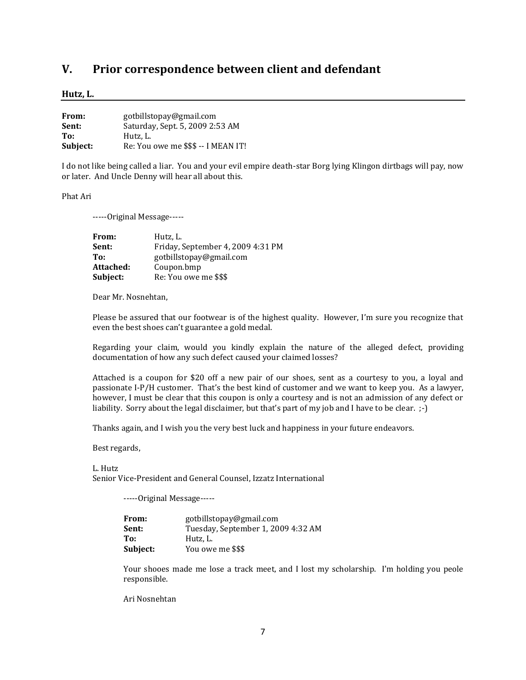# <span id="page-6-0"></span>**V. Prior correspondence between client and defendant**

#### **Hutz, L.**

| From:    | gotbillstopay@gmail.com             |
|----------|-------------------------------------|
| Sent:    | Saturday, Sept. 5, 2009 2:53 AM     |
| To:      | Hutz, L.                            |
| Subject: | Re: You owe me \$\$\$ -- I MEAN IT! |

I do not like being called a liar. You and your evil empire death-star Borg lying Klingon dirtbags will pay, now or later. And Uncle Denny will hear all about this.

Phat Ari

-----Original Message-----

| From:     | Hutz, L.                          |
|-----------|-----------------------------------|
| Sent:     | Friday, September 4, 2009 4:31 PM |
| To:       | gotbillstopay@gmail.com           |
| Attached: | Coupon.bmp                        |
| Subject:  | Re: You owe me \$\$\$             |

Dear Mr. Nosnehtan,

Please be assured that our footwear is of the highest quality. However, I'm sure you recognize that even the best shoes can't guarantee a gold medal.

Regarding your claim, would you kindly explain the nature of the alleged defect, providing documentation of how any such defect caused your claimed losses?

Attached is a coupon for \$20 off a new pair of our shoes, sent as a courtesy to you, a loyal and passionate I-P/H customer. That's the best kind of customer and we want to keep you. As a lawyer, however, I must be clear that this coupon is only a courtesy and is not an admission of any defect or liability. Sorry about the legal disclaimer, but that's part of my job and I have to be clear. ;-)

Thanks again, and I wish you the very best luck and happiness in your future endeavors.

Best regards,

L. Hutz Senior Vice-President and General Counsel, Izzatz International

-----Original Message-----

| From:    | gotbillstopay@gmail.com            |  |  |
|----------|------------------------------------|--|--|
| Sent:    | Tuesday, September 1, 2009 4:32 AM |  |  |
| To:      | Hutz. L.                           |  |  |
| Subject: | You owe me \$\$\$                  |  |  |

Your shooes made me lose a track meet, and I lost my scholarship. I'm holding you peole responsible.

Ari Nosnehtan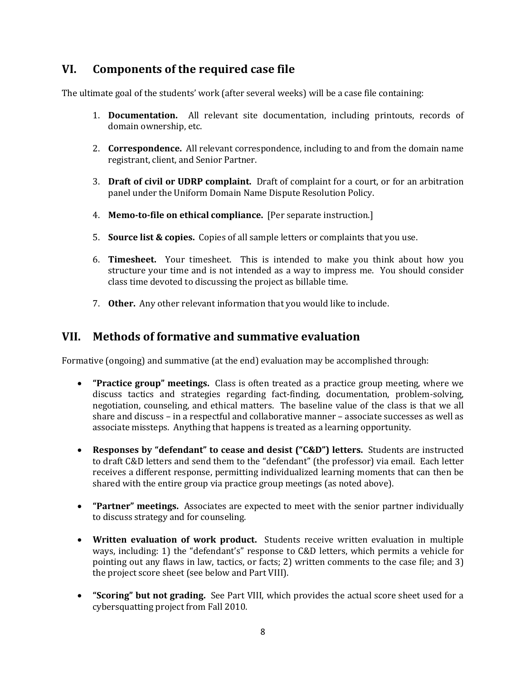# <span id="page-7-0"></span>**VI. Components of the required case file**

The ultimate goal of the students' work (after several weeks) will be a case file containing:

- 1. **Documentation.** All relevant site documentation, including printouts, records of domain ownership, etc.
- 2. **Correspondence.** All relevant correspondence, including to and from the domain name registrant, client, and Senior Partner.
- 3. **Draft of civil or UDRP complaint.** Draft of complaint for a court, or for an arbitration panel under the Uniform Domain Name Dispute Resolution Policy.
- 4. **Memo-to-file on ethical compliance.** [Per separate instruction.]
- 5. **Source list & copies.** Copies of all sample letters or complaints that you use.
- 6. **Timesheet.** Your timesheet. This is intended to make you think about how you structure your time and is not intended as a way to impress me. You should consider class time devoted to discussing the project as billable time.
- 7. **Other.** Any other relevant information that you would like to include.

# <span id="page-7-1"></span>**VII. Methods of formative and summative evaluation**

Formative (ongoing) and summative (at the end) evaluation may be accomplished through:

- **"Practice group" meetings.** Class is often treated as a practice group meeting, where we discuss tactics and strategies regarding fact-finding, documentation, problem-solving, negotiation, counseling, and ethical matters. The baseline value of the class is that we all share and discuss – in a respectful and collaborative manner – associate successes as well as associate missteps. Anything that happens is treated as a learning opportunity.
- **Responses by "defendant" to cease and desist ("C&D") letters.** Students are instructed to draft C&D letters and send them to the "defendant" (the professor) via email. Each letter receives a different response, permitting individualized learning moments that can then be shared with the entire group via practice group meetings (as noted above).
- **"Partner" meetings.** Associates are expected to meet with the senior partner individually to discuss strategy and for counseling.
- **Written evaluation of work product.** Students receive written evaluation in multiple ways, including: 1) the "defendant's" response to C&D letters, which permits a vehicle for pointing out any flaws in law, tactics, or facts; 2) written comments to the case file; and 3) the project score sheet (see below and Part VIII).
- **"Scoring" but not grading.** See Part VIII, which provides the actual score sheet used for a cybersquatting project from Fall 2010.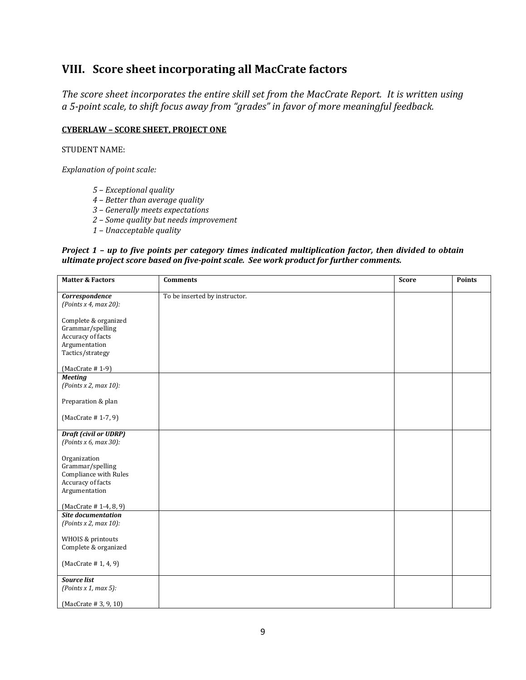# <span id="page-8-0"></span>**VIII. Score sheet incorporating all MacCrate factors**

*The score sheet incorporates the entire skill set from the MacCrate Report. It is written using a 5-point scale, to shift focus away from "grades" in favor of more meaningful feedback.* 

### **CYBERLAW – SCORE SHEET, PROJECT ONE**

STUDENT NAME:

*Explanation of point scale:*

- *5 – Exceptional quality*
- *4 – Better than average quality*
- *3 – Generally meets expectations*
- *2 – Some quality but needs improvement*
- *1 – Unacceptable quality*

#### *Project 1 – up to five points per category times indicated multiplication factor, then divided to obtain ultimate project score based on five-point scale. See work product for further comments.*

| <b>Matter &amp; Factors</b>              | <b>Comments</b>               | <b>Score</b> | <b>Points</b> |
|------------------------------------------|-------------------------------|--------------|---------------|
| Correspondence                           | To be inserted by instructor. |              |               |
| (Points x 4, max 20):                    |                               |              |               |
|                                          |                               |              |               |
| Complete & organized<br>Grammar/spelling |                               |              |               |
| Accuracy of facts                        |                               |              |               |
| Argumentation                            |                               |              |               |
| Tactics/strategy                         |                               |              |               |
|                                          |                               |              |               |
| $(MacCrate # 1-9)$                       |                               |              |               |
| <b>Meeting</b>                           |                               |              |               |
| (Points x 2, max 10):                    |                               |              |               |
| Preparation & plan                       |                               |              |               |
|                                          |                               |              |               |
| (MacCrate #1-7, 9)                       |                               |              |               |
|                                          |                               |              |               |
| <b>Draft (civil or UDRP)</b>             |                               |              |               |
| (Points x 6, max 30):                    |                               |              |               |
|                                          |                               |              |               |
| Organization<br>Grammar/spelling         |                               |              |               |
| Compliance with Rules                    |                               |              |               |
| Accuracy of facts                        |                               |              |               |
| Argumentation                            |                               |              |               |
|                                          |                               |              |               |
| (MacCrate #1-4, 8, 9)                    |                               |              |               |
| <b>Site documentation</b>                |                               |              |               |
| (Points x 2, max 10):                    |                               |              |               |
| WHOIS & printouts                        |                               |              |               |
| Complete & organized                     |                               |              |               |
|                                          |                               |              |               |
| (MacCrate #1, 4, 9)                      |                               |              |               |
|                                          |                               |              |               |
| <b>Source list</b>                       |                               |              |               |
| (Points x 1, max 5):                     |                               |              |               |
| (MacCrate # 3, 9, 10)                    |                               |              |               |